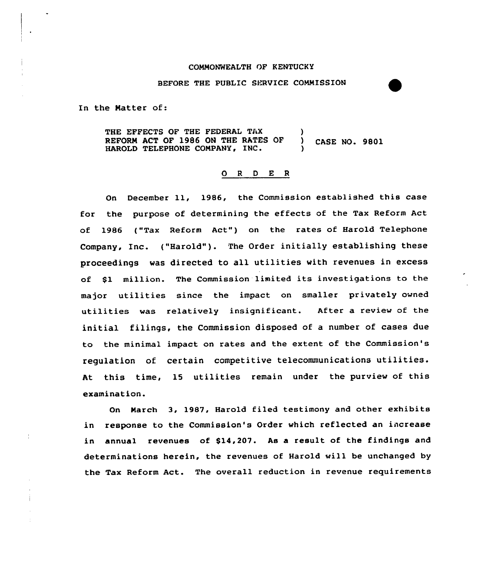#### COMMONWEALTH OF KENTUCKY

#### BEFORE THE PUBLIC SERVICE COMMISSION

In the Natter of:

THE EFFECTS OF THE FEDERAL TAX (1) REFORM ACT OF 1986 ON THE RATES OF ) CASE NO. 9801 HAROLD TELEPHONE COMPANY, INC.

# 0 <sup>R</sup> <sup>D</sup> E <sup>R</sup>

On December ll, 1986, the Commission established this case for the purpose of determining the effects of the Tax Reform Act of 1986 ("Tax Reform Act") on the rates of Harold Telephone Company, Inc. ("Harold" ). The Order initially establishing these proceedings was directed to all utilities with revenues in excess of \$1 million. The Commission limited its investigations to the major utilities since the impact on smaller privately owned utilities was relatively insignificant. After a review of the initial filings, the Commission disposed of a number of cases due to the minimal impact on rates and the extent of the Commission's regulation of certain competitive telecommunications utilities. At this time, 15 utilities remain under the purview of this examination.

On March 3, 1987, Harold filed testimony and other exhibits in response to the Commission's Order which reflected an increase in annual revenues of \$14,207. As a result of the findings and determinations herein, the revenues of Harold will be unchanged by the Tax Reform Act. The overall reduction in revenue requirements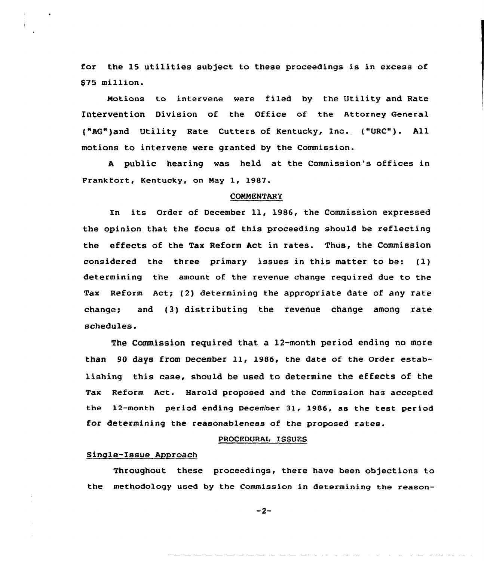for the 15 utilities subject to these proceedings is in excess of \$75 million.

Motions to intervene were filed by the Utility and Rate Intervention Division of the office of the Attorney General {"AG")and Utility Rate Cutters of Kentucky, Inc. {"URC"). All motions to intervene were granted by the Commission.

<sup>A</sup> public hearing was held at the Commission's offices in Frankfort, Kentucky, on Nay 1, 1987.

#### CONNENTARY

In its Order of December ll, 1986, the Commission expressed the opinion that the focus of this proceeding should be reflecting the effects of the Tax Reform Act in rates. Thus, the Commission considered the three primary issues in this matter to be: (1) determining the amount of the revenue change reguired due to the Tax Reform Act; (2) determining the appropriate date of any rate change; and (3) distributing the revenue change among rate schedules.

The Commission required that a 12-month period ending no more than <sup>90</sup> days from December ll, 1986, the date of the Order establishing this case, should be used to determine the effects of the Tax Reform Act. Harold proposed and the Commission has accepted the 12-month period ending December 31, 1986, as the test period for determining the reasonableness of the proposed rates.

#### PROCEDURAL ISSUES

### Single-Issue Approach

Throughout these proceedings, there have been objections to the methodology used by the Commission in determining the reason-

 $-2-$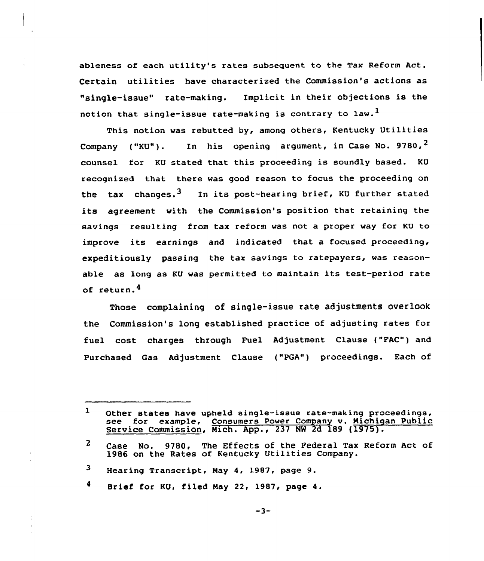ableness of each utility's rates subsequent to the Tax Reform Act. Certain utilities have characterized the Commission's actions as "single-issue" rate-making. Implicit in their objections is the notion that single-issue rate-making is contrary to law.<sup>1</sup>

This notion was rebutted by, among others, Kentucky Utilities Company ("KU"). In his opening argument, in Case No. 9780,  $2$ counsel for KU stated that this proceeding is soundly based. KU recognized that there was good reason to focus the proceeding on the tax changes.<sup>3</sup> In its post-hearing brief, KU further stated its agreement with the Commission's position that retaining the savings resulting from tax reform was not a proper way for KU to improve its earnings and indicated that <sup>a</sup> focused proceeding, expeditiously passing the tax savings to ratepayers, was reasonable as long as KU was permitted to maintain its test-period rate of return.4

Those complaining of single-issue rate adjustments overlook the Commission's long established practice of adjusting rates for fuel cost charges through Fuel Adjustment Clause ("FAC") and Purchased Gas Adjustment Clause ("PGA") proceedings. Each of

 $\mathbf{1}$ Other states have upheld single-issue rate-making proceedings, see for example, Consumers Power Company v. Michigan Public Service Commission, Mich. App., 237 NW 2d 189 (1975).

 $\mathbf{2}$ Case No. 9780, The Effects of the Federal Tax Reform Act of 1986 on the Rates of Kentucky Utilities Company.

<sup>3</sup> Hearing Transcript, Nay 4, 1987, page 9.

<sup>4</sup> Brief for KU, filed Hay 22, 1987, page 4.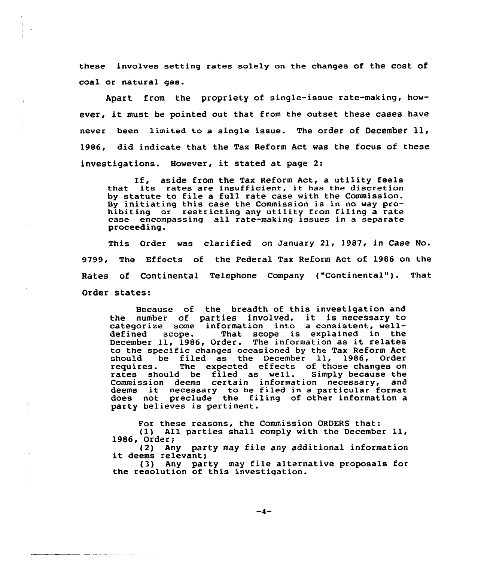these involves setting rates solely on the changes of the cost of coal or natural gas.

Apart from the propriety of single-issue rate-making, however, it must be pointed out that from the outset these cases have never been limited to <sup>a</sup> single issue. The order of December ll, 1986, did indicate that the Tax Reform Act was the focus of these investigations. However, it stated at page 2:

If, aside from the Tax Reform Act, <sup>a</sup> utility feels that its rates are insufficient, it has the discretion by statute to file a full rate case with the Commission. By initiating this case the Commission is in no way prohibiting or restricting any utility from filing a rate case encompassing all rate-making issues in a separate proceeding.

This Order was clarified on January 21, 1987, in Case No. 9799, The Effects of the Federal Tax Reform Act of 1986 on the Rates of Continental Telephone Company ("Continental"). That Order states:

Because of the breadth of this investigation and because of the breadth of this investigation and<br>the number of parties involved, it is necessary to categorize some information into a consistent, welldefined scope. That scope is explained in the December ll, 1986, Order. The information as it relates to the specific changes occasioned by the Tax Reform Act should be filed as the December ll, 1986, Order requires. The expected effects of those changes on rates should be filed as well. Simply because the Commission deems certain information necessary, and deems it necessary to be filed in <sup>a</sup> particular format does not preclude the filing of other information a party believes is pertinent.

For these reasons, the Commission ORDERS that: (1) All parties shall comply with the December ll, 1986, Order;

(2) Any party may file any additional information it deems relevant;

(3) Any party may file alternative proposals for the resolution of this investigation.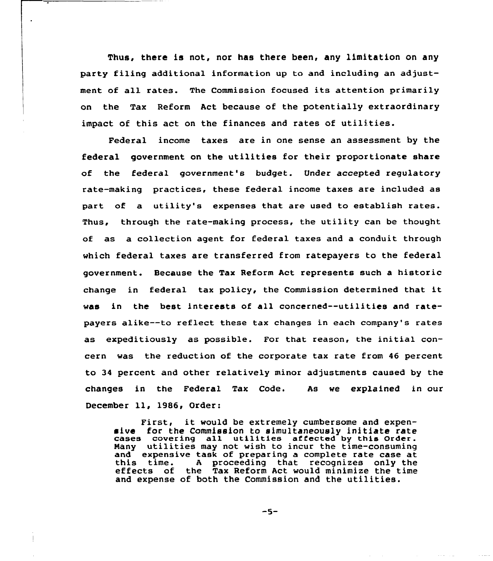Thus, there is not, nor has there been, any limitation on any party filing additional information up to and including an adjustment of all rates. The Commission focused its attention primarily on the Tax Reform Act because of the potentially extraordinary impact of this act on the finances and rates of utilities.

Federal income taxes are in one sense an assessment by the federal government on the utilities for their proportionate share of the federal government's budget. Under accepted regulatory rate-making practices, these federal income taxes are included as part of a utility's expenses that are used to establish rates. Thus, through the rate-making process, the utility can be thought of as a collection agent for federal taxes and a conduit through which federal taxes are transferred from ratepayers to the federal government. Because the Tax Reform Act represents such a historic change in federal tax policy, the Commission determined that it was in the best interests of all concerned--utilities and ratepayers alike--to reflect these tax changes in each company's rates as expeditiously as possible. For that reason, the initial concern was the reduction of the corporate tax rate from 46 percent to 34 percent and other relatively minor adjustments caused by the changes in the Federal Tax Code. As we explained in our December ll, 1986, Order:

First, it would be extremely cumbersome and expensive for the Commission to simultaneously initiate rate cases covering all utilities affected by this Order. Many utilities may not wish to incur the time-consuming<br>and expensive task of preparing a complete rate case at this time. A proceeding that recognizes only the effects of the Tax Reform Act would minimize the time and expense of both the Commission and the utilities.

 $-5-$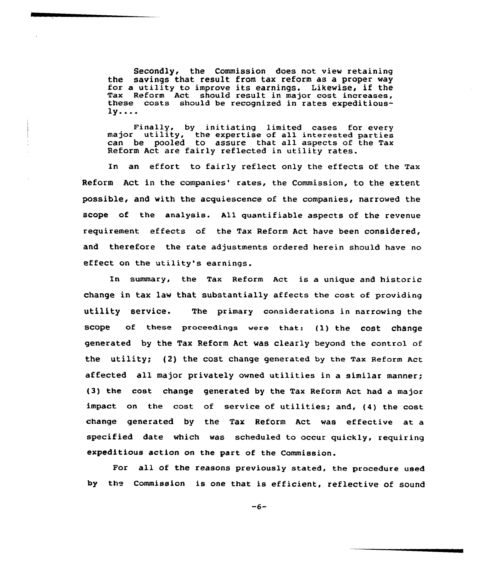Secondly, the Commission does not view retaining<br>the savings that result from tax reform as a proper way the savings that result from tax reform as a proper way for a utility to improve its earnings. Likewise, if the Tax Reform Act should result in major cost increases these costs should be recognized in rates expeditious- $1y...$ 

Finally, by initiating limited cases for every major utility, the expertise of all interested partie can be pooled to assure that all aspects of the Tax Reform Act are fairly reflected in utility rates.

In an effort to fairly reflect only the effects of the Tax Reform Act in the companies' rates, the Commission, to the extent possible, and with the acquiescence of the companies, narrowed the scope of the analysis. All quantifiable aspects of the revenue requirement effects of the Tax Reform Act have been considered, and therefore the rate adjustments ordered herein should have no effect on the utility's earnings.

In summary, the Tax Reform Act is a unique and historic change in tax law that substantially affects the cost of providing utility service. The primary considerations in narrowing the scope of these proceedings were that: {l) the cost change generated by the Tax Reform Act was clearly beyond the control of the utility; {2) the COSt Change generated by the Tax Reform Act affected all major privately owned utilities in a similar manner; {3) the cost change generated by the Tax Reform Act had a major impact on the cost of service of utilities; and, {4) the cost change generated by the Tax Reform Act was effective at a specified date which was scheduled to occur quickly, requiring expeditious action on the part of the Commission.

For all of the reasons previously stated, the procedure used by the Commission is one that is efficient, reflective of sound

 $-6-$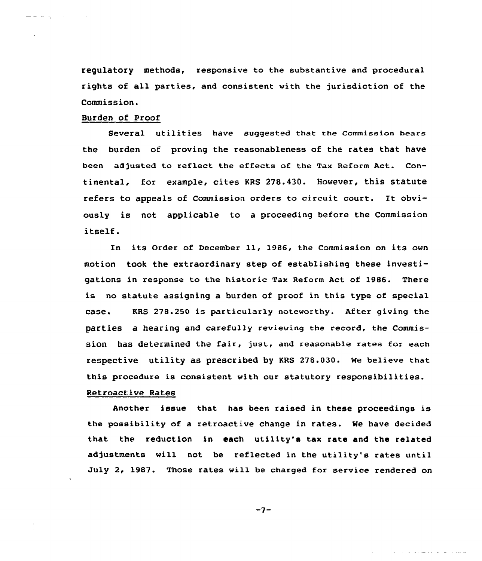requlatory methods, responsive to the substantive and procedural rights of all parties, and consistent with the jurisdiction of the Commission.

# Burden of Proof

 $\frac{1}{2}$  and  $\frac{1}{2}$  and  $\frac{1}{2}$  and  $\frac{1}{2}$ 

Several utilities have suggested that the Commission bears the burden of proving the reasonableness of the rates that have been adjusted to reflect the effects af the Tax Reform Act. Continental, for example, cites KRS 278.430. However, this statute refers to appeals of Commission orders to circuit court. It obviously is not applicable to a proceeding before the Commission itself.

En its Order of December 11, 1986, the Commission on its own motion took the extraardinary step of establishing these investigations in response to the historic Tax Reform Act of 1986. There is no statute assigning a burden of proof in this type of special case. KRS 278.250 is particularly noteworthy. After giving the parties a hearing and carefully reviewing the record, the commission has determined the fair, just, and reasonable rates for each respective utility as prescribed by KRs 278.030. we believe that this procedure is consistent with our statutory responsibilities.

# Retroactive Rates

Another issue that has been raised in these proceedings is the possibility of a retroactive change in rates. We have decided that the reduction in each utility's tax rate and the related adjustments will not be reflected in the utility's rates until July 2, 1987. Those rates will be charged for service rendered on

 $-7-$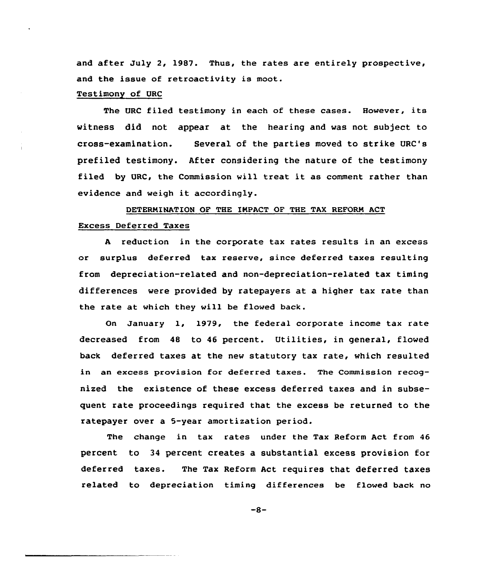and after July 2, 1987. Thus, the rates are entirely prospective, and the issue of retroactivity is moot.

#### Testimony of URC

The URC filed testimony in each of these cases. However, its witness did not appear at the hearing and was not subject to cross-examination. Several of the parties moved to strike URC's prefiled testimony. After considering the nature of the testimony filed by URC, the Commission will treat it as comment rather than evidence and weigh it accordingly.

# DETERNINATION OF THE IKPACT OF THE TAX REFORM ACT

# Excess Deferred Taxes

<sup>A</sup> reduction in the corporate tax rates results in an excess or surplus deferred tax reserve, since deferred taxes resulting from depreciation-related and non-depreciation-related tax timing differences were provided by ratepayers at a higher tax rate than the rate at which they will be flowed back.

On January 1, 1979, the federal corporate income tax rate decreased from 48 to 46 percent. Utilities, in general, flowed back deferred taxes at the new statutory tax rate, which resulted in an excess provision for deferred taxes. The Commission recognized the existence of these excess deferred taxes and in subsequent rate proceedings required that the excess be returned to the ratepayer over a 5-year amortization period.

The change in tax rates under the Tax Reform Act from 46 percent to 34 percent creates a substantial excess provision for deferred taxes. The Tax Reform Act requires that deferred taxes related to depreciation timing differences be flowed back no

 $-8-$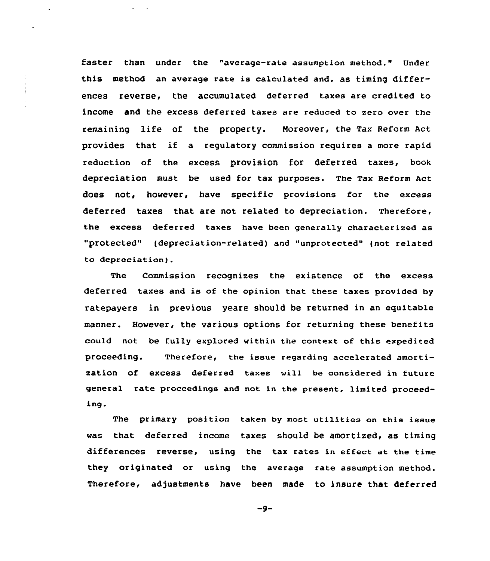faster than under the "average-rate assumption method." Under this method an average rate is calculated and, as timing differences reverse, the accumulated deferred taxes are credited to income and the excess deferred taxes are reduced to zero over the remaining life of the property. Moreover, the Tax Reform Act provides that if a regulatory commission requires a more rapid reduction of the excess provision for deferred taxes, book depreciation must be used for tax purposes. The Tax Reform act does not, however, have specific provisions for the excess deferred taxes that are not related to depreciation. Therefore, the excess deferred taxes have been generally characterized as "protected" (depreciation-related) and "unprotected" (not related to depreciation).

 $\mathbf{v}$ 

The Commission recognizes the existence of the excess deferred taxes and is of the opinion that these taxes provided by ratepayers in previous years should be returned in an equitable manner. However, the various options for returning these benefits could not be fully explored within the context of this expedited proceeding. Therefore, the issue regarding accelerated amortization of excess deferred taxes will be considered in future general rate proceedings and not in the present, limited proceeding.

The primary position taken by most utilities on this issue was that deferred income taxes should be amortized, as timing differences reverse, using the tax rates in effect at the time they originated or using the average rate assumption method. Therefore, adjustments have been made to insure that deferred

 $-9-$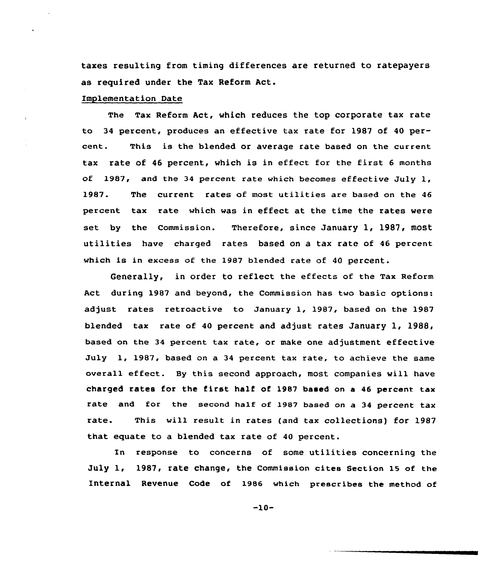taxes resulting from timing differences are returned to ratepayers as required under the Tax Reform Act.

# Implementation Date

The Tax Reform Act, which reduces the top corporate tax rate to 34 percent, produces an effective tax rate for 1987 of 40 percent. This is the blended or average rate based on the current tax rate of <sup>46</sup> percent, which is in effect for the first <sup>6</sup> months of  $1987$ , and the 34 percent rate which becomes effective July 1, 1987. The current rates of most utilities are based on the <sup>46</sup> percent tax rate which was in effect at the time the rates were set by the Commission. Therefore, since January 1, 1987, most utilities have charged rates based on a tax rate of <sup>46</sup> percent which is in excess of the 1987 blended rate of <sup>40</sup> percent.

Generally, in order to reflect the effects of the Tax Reform Act during 1987 and beyond, the Commission has two basic options: adjust rates retroactive to January 1, 1987, based on the 1987 blended tax rate of 40 percent and adjust rates January 1, 1988, based on the 34 percent tax rate, or make one adjustment effective July 1, 1987, based on a 34 percent tax rate, to achieve the same overall effect. By this second approach, most companies will have charged rates for the first half of 1987 based on <sup>a</sup> <sup>46</sup> percent tax rate and for the second half of 1987 based on a 34 percent tax rate. This will result in rates (and tax collections) for 1987 that equate to a blended tax rate of 40 percent.

In response to concerns of some utilities concerning the July 1, 1987, rate change, the commission cites section 15 of the Internal Revenue Code of 1986 which prescribes the method of

-10-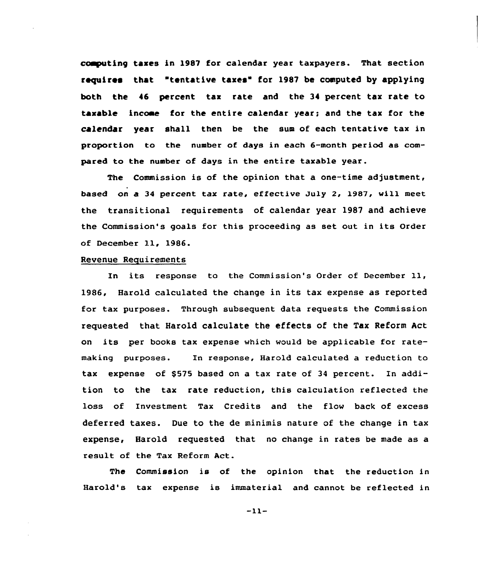coaputing taxes in l987 for calendar year taxpayers. That section requires that "tentative taxes" for 1987 be computed by applying both the 46 percent tax rate and the 34 percent tax rate to taxable income for the entire calendar year; and the tax for the calender year shall then be the sum of each tentative tax in proportion to the number of days in each 6-month period as compared to the number of days in the entire taxable year.

The Commission is of the opinion that a one-time adjustment, based on a 34 percent tax rate, effective July 2, 1987, will meet the transitional requirements of calendar year 1987 and achieve the Commission's goals for this proceeding as set out in its Order of December ll, 1986.

# Revenue Requirements

In its response to the Commission's Order of December 11, 1986, Harold calculated the change in its tax expense as reported for tax purposes. Through subsequent data requests the Commission requested that Harold calculate the effects of the Tax Reform Act on its per books tax expense which would be applicable for ratemaking purposes. Xn response, Harold calculated a reduction to tax expense of \$575 based on a tax rate of 34 percent. In addition to the tax rate reduction, this calculation reflected the loss of Investment Tax Credits and the flow back of excess deferred taxes. Due to the de minimis nature of the change in tax expense, Harold requested that no change in rates be made as a result of the Tax Reform Act.

The Commission is of the opinion that the reduction in Harold's tax expense is immaterial and cannot be reflected in

 $-11-$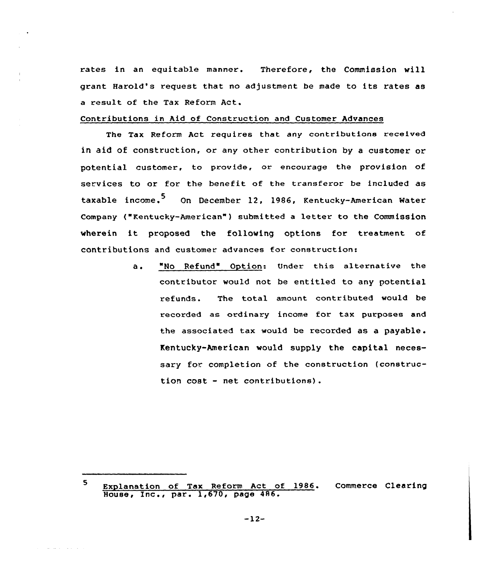rates in an equitable manner. Therefore, the Commission vill grant Harold's request that no adjustment be made to its rates as a result of the Tax Reform Act.

# Contributions in Aid of Construction and Customer Advances

The Tax Reform Act requires that any contributions received in aid of construction, or any other contribution by a customer or potential customer, to provide, or encourage the provision of services to or for the benefit of the transferor be included as taxable income.<sup>5</sup> On December 12, 1986, Kentucky-American Water company ("Kentucky-American" ) submitted <sup>a</sup> letter to the commission wherein it proposed the following options for treatment of contributions and customer advances for constructions

> "No Refund" Option: Under this alternative the  $a \cdot$ contributor would not be entitled to any potential refunds. The total amount contributed would be recorded as ordinary income for tax purposes and the associated tax would be recorded as <sup>a</sup> payable . Kentucky-American would supply the capital necessary for completion of the construction (construction cost - net contributions).

<sup>5</sup> Explanation of Tax Reform Act of 1986. Commerce Clearin Explanation of lax Reform Act of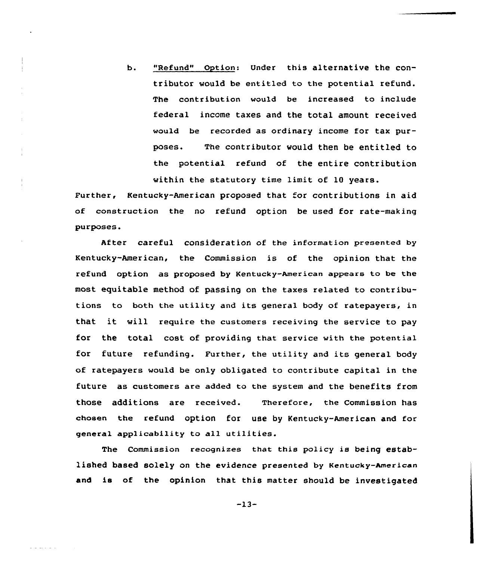b. "Refund" Option: Under this alternative the contributor would be entitled to the potential refund. The contribution would be increased to include federal income taxes and the total amount received would be recorded as ordinary income for tax purposes. The contributor would then be entitled to the potential refund of the entire contribution

within the statutory time limit of 10 years.

Further, Kentucky-American proposed that for contributions in aid of construction the no refund option be used for rate-making purposes.

After careful consideration of the information presented by Kentucky-American, the Commission is of the opinion that the refund option as proposed by Kentucky-American appears to be the most equitable method of passing on the taxes related to contributions to both the utility and its general body of ratepayers, in that it will require the customers receiving the service to pay for the total cost of providing that service with the potential for future refunding. Further, the utility and its general body of ratepayers would be only obligated to contribute capital in the future as customers are added to the system and the benefits from those additions are received. Therefore, the Commission has chosen the refund option for use by Kentucky-American and for general applicability to all utilities.

The Commission recognizes that this policy is being established based solely on the evidence presented by Kentucky-American and is of the opinion that this matter should be investigated

-13-

ana ary ary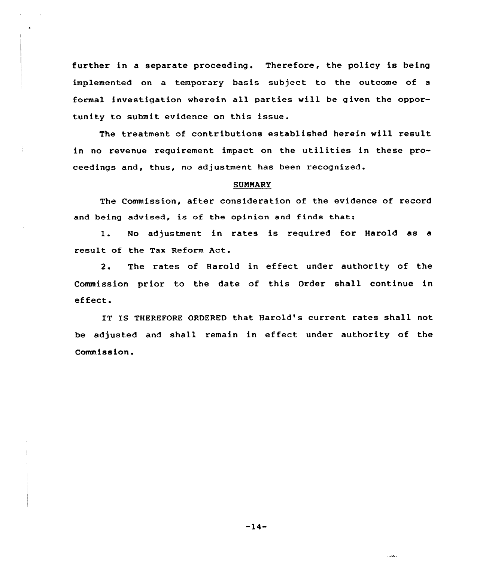further in a separate proceeding. Therefore, the policy is being implemented on a temporary basis subject to the outcome of a formal investigation wherein all parties will be given the opportunity to submit evidence on this issue.

The treatment of contributions established herein will result in no revenue requirement impact on the utilities in these proceedings and, thus, no adjustment has been recognized.

#### **SUMMARY**

The Commission, after consideration of the evidence of record and being advised, is of the opinion and finds that:

1. No adjustment in rates is required for Harold as <sup>a</sup> result of the Tax Reform Act.

2. The rates of Harold in effect under authority of the Commission prior to the date of this Order shall continue in effect.

IT IS THEREFORE ORDERED that Harold's current rates shall not be adjusted and shall remain in effect under authority of the Commiss ion.

 $-14-$ 

الداخلين